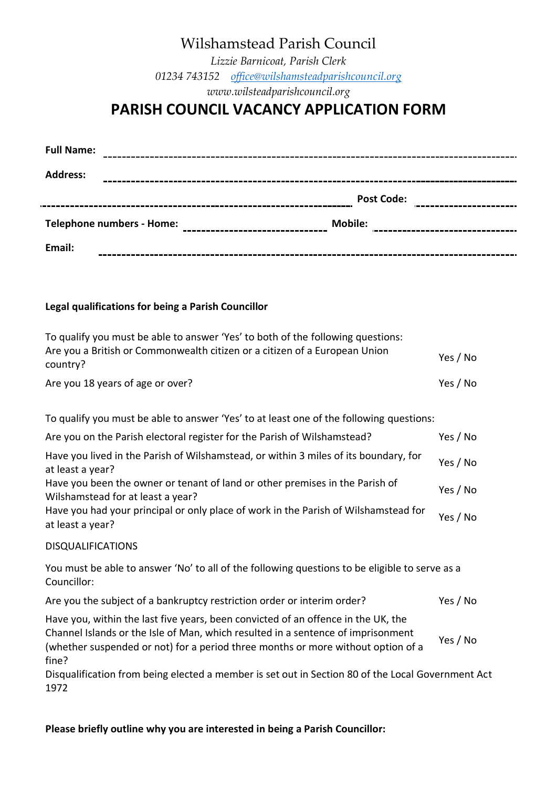# Wilshamstead Parish Council

*Lizzie Barnicoat, Parish Clerk 01234 743152 office@wilshamsteadparishcouncil.org www.wilsteadparishcouncil.org*

# **PARISH COUNCIL VACANCY APPLICATION FORM**

| <b>Full Name:</b>                                                                                                                                                                                                                                                                                                                                                                                |                   |
|--------------------------------------------------------------------------------------------------------------------------------------------------------------------------------------------------------------------------------------------------------------------------------------------------------------------------------------------------------------------------------------------------|-------------------|
| <b>Address:</b>                                                                                                                                                                                                                                                                                                                                                                                  |                   |
|                                                                                                                                                                                                                                                                                                                                                                                                  | <b>Post Code:</b> |
| Telephone numbers - Home:<br>$\begin{picture}(20,10) \put(0,0){\vector(1,0){100}} \put(10,0){\vector(1,0){100}} \put(10,0){\vector(1,0){100}} \put(10,0){\vector(1,0){100}} \put(10,0){\vector(1,0){100}} \put(10,0){\vector(1,0){100}} \put(10,0){\vector(1,0){100}} \put(10,0){\vector(1,0){100}} \put(10,0){\vector(1,0){100}} \put(10,0){\vector(1,0){100}} \put(10,0){\vector(1,0){100}} \$ | <b>Mobile:</b>    |
| Email:                                                                                                                                                                                                                                                                                                                                                                                           |                   |

### **Legal qualifications for being a Parish Councillor**

| To qualify you must be able to answer 'Yes' to both of the following questions:        |          |
|----------------------------------------------------------------------------------------|----------|
| Are you a British or Commonwealth citizen or a citizen of a European Union<br>country? | Yes / No |
| Are you 18 years of age or over?                                                       | Yes / No |

To qualify you must be able to answer 'Yes' to at least one of the following questions:

| Are you on the Parish electoral register for the Parish of Wilshamstead?                                          |          |
|-------------------------------------------------------------------------------------------------------------------|----------|
| Have you lived in the Parish of Wilshamstead, or within 3 miles of its boundary, for<br>at least a year?          |          |
| Have you been the owner or tenant of land or other premises in the Parish of<br>Wilshamstead for at least a year? | Yes / No |
| Have you had your principal or only place of work in the Parish of Wilshamstead for<br>at least a year?           | Yes / No |
|                                                                                                                   |          |

#### DISQUALIFICATIONS

You must be able to answer 'No' to all of the following questions to be eligible to serve as a Councillor:

Are you the subject of a bankruptcy restriction order or interim order? Yes / No

Have you, within the last five years, been convicted of an offence in the UK, the Channel Islands or the Isle of Man, which resulted in a sentence of imprisonment (whether suspended or not) for a period three months or more without option of a fine? Yes / No

Disqualification from being elected a member is set out in Section 80 of the Local Government Act 1972

**Please briefly outline why you are interested in being a Parish Councillor:**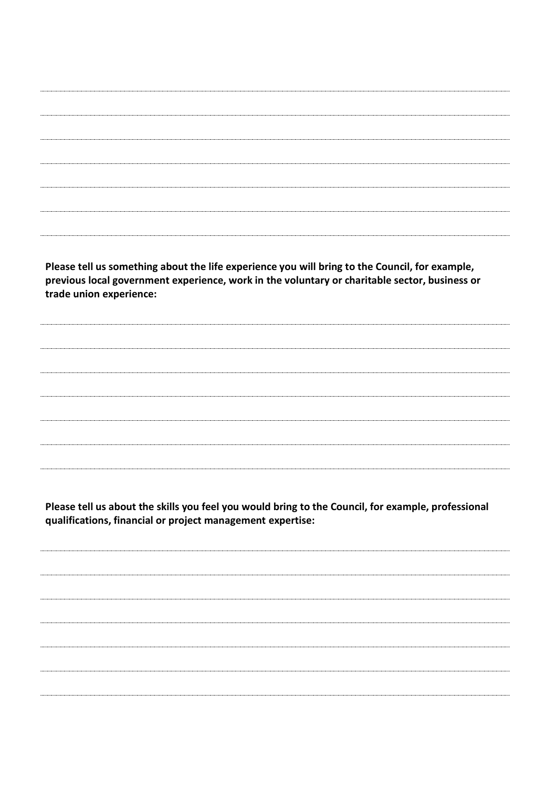**Please tell us something about the life experience you will bring to the Council, for example, previous local government experience, work in the voluntary or charitable sector, business or trade union experience:**

**Please tell us about the skills you feel you would bring to the Council, for example, professional qualifications, financial or project management expertise:**